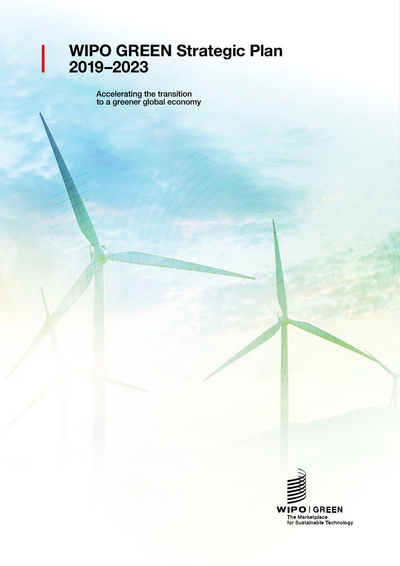# WIPO GREEN Strategic Plan 2019–2023

Accelerating the transition to a greener global economy

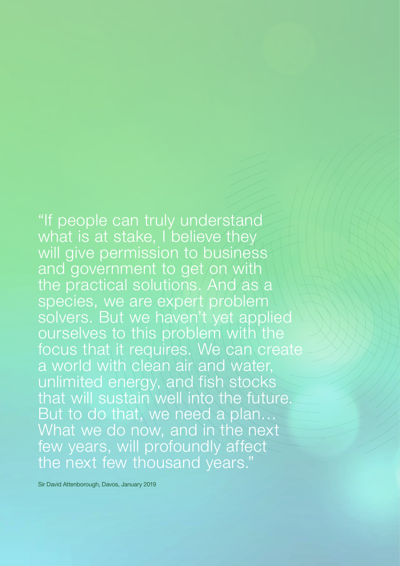"If people can truly understand what is at stake, I believe they will give permission to business and government to get on with the practical solutions. And as a species, we are expert problem solvers. But we haven't yet applied ourselves to this problem with the focus that it requires. We can create a world with clean air and water, unlimited energy, and fish stocks that will sustain well into the future. But to do that, we need a plan… What we do now, and in the next few years, will profoundly affect the next few thousand years."

Sir David Attenborough, Davos, January 2019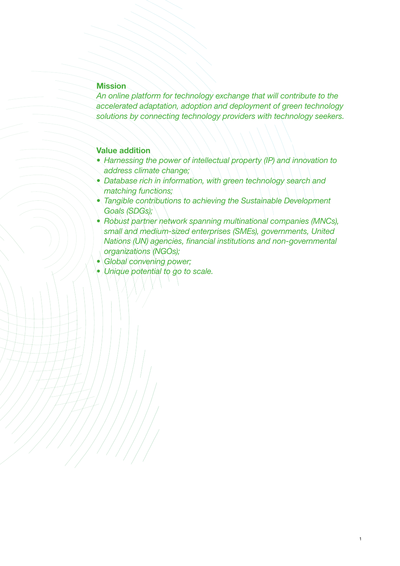# **Mission**

*An online platform for technology exchange that will contribute to the accelerated adaptation, adoption and deployment of green technology solutions by connecting technology providers with technology seekers.*

# Value addition

- *• Harnessing the power of intellectual property (IP) and innovation to address climate change;*
- Database rich in information, with green technology search and *matching functions;*
- *Tangible contributions to achieving the Sustainable Development Goals (SDGs);*
- *• Robust partner network spanning multinational companies (MNCs), small and medium-sized enterprises (SMEs), governments, United Nations (UN) agencies, financial institutions and non-governmental organizations (NGOs);*

1

- *• Global convening power;*
- *• Unique potential to go to scale.*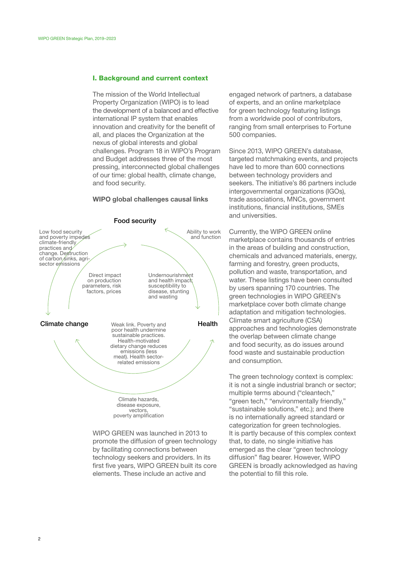## I. Background and current context

The mission of the World Intellectual Property Organization (WIPO) is to lead the development of a balanced and effective international IP system that enables innovation and creativity for the benefit of all, and places the Organization at the nexus of global interests and global challenges. Program 18 in WIPO's Program and Budget addresses three of the most pressing, interconnected global challenges of our time: global health, climate change, and food security.

#### WIPO global challenges causal links



WIPO GREEN was launched in 2013 to promote the diffusion of green technology by facilitating connections between technology seekers and providers. In its first five years, WIPO GREEN built its core elements. These include an active and

engaged network of partners, a database of experts, and an online marketplace for green technology featuring listings from a worldwide pool of contributors, ranging from small enterprises to Fortune 500 companies.

Since 2013, WIPO GREEN's database, targeted matchmaking events, and projects have led to more than 600 connections between technology providers and seekers. The initiative's 86 partners include intergovernmental organizations (IGOs), trade associations, MNCs, government institutions, financial institutions, SMEs and universities.

Currently, the WIPO GREEN online marketplace contains thousands of entries in the areas of building and construction, chemicals and advanced materials, energy, farming and forestry, green products, pollution and waste, transportation, and water. These listings have been consulted by users spanning 170 countries. The green technologies in WIPO GREEN's marketplace cover both climate change adaptation and mitigation technologies. Climate smart agriculture (CSA) approaches and technologies demonstrate the overlap between climate change and food security, as do issues around food waste and sustainable production and consumption.

The green technology context is complex: it is not a single industrial branch or sector; multiple terms abound ("cleantech," "green tech," "environmentally friendly," "sustainable solutions," etc.); and there is no internationally agreed standard or categorization for green technologies. It is partly because of this complex context that, to date, no single initiative has emerged as the clear "green technology diffusion" flag bearer. However, WIPO GREEN is broadly acknowledged as having the potential to fill this role.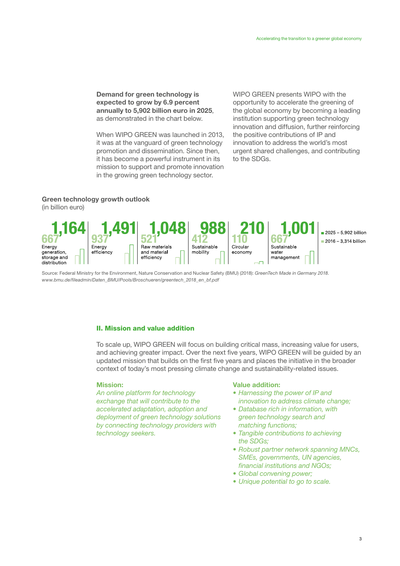Demand for green technology is expected to grow by 6.9 percent annually to 5,902 billion euro in 2025, as demonstrated in the chart below.

When WIPO GREEN was launched in 2013, it was at the vanguard of green technology promotion and dissemination. Since then, it has become a powerful instrument in its mission to support and promote innovation in the growing green technology sector.

WIPO GREEN presents WIPO with the opportunity to accelerate the greening of the global economy by becoming a leading institution supporting green technology innovation and diffusion, further reinforcing the positive contributions of IP and innovation to address the world's most urgent shared challenges, and contributing to the SDGs.

# Green technology growth outlook

(in billion euro)



Source: Federal Ministry for the Environment, Nature Conservation and Nuclear Safety (BMU) (2018): *GreenTech Made in Germany 2018*. *[www.bmu.de/fileadmin/Daten\\_BMU/Pools/Broschueren/greentech\\_2018\\_en\\_bf.pdf](https://www.bmu.de/fileadmin/Daten_BMU/Pools/Broschueren/greentech_2018_en_bf.pdf)*

# II. Mission and value addition

To scale up, WIPO GREEN will focus on building critical mass, increasing value for users, and achieving greater impact. Over the next five years, WIPO GREEN will be guided by an updated mission that builds on the first five years and places the initiative in the broader context of today's most pressing climate change and sustainability-related issues.

#### Mission:

*An online platform for technology exchange that will contribute to the accelerated adaptation, adoption and deployment of green technology solutions by connecting technology providers with technology seekers.*

#### Value addition:

- *• Harnessing the power of IP and innovation to address climate change;*
- *• Database rich in information, with green technology search and matching functions;*
- *• Tangible contributions to achieving the SDGs;*
- *• Robust partner network spanning MNCs, SMEs, governments, UN agencies, financial institutions and NGOs;*
- *• Global convening power;*
- *• Unique potential to go to scale.*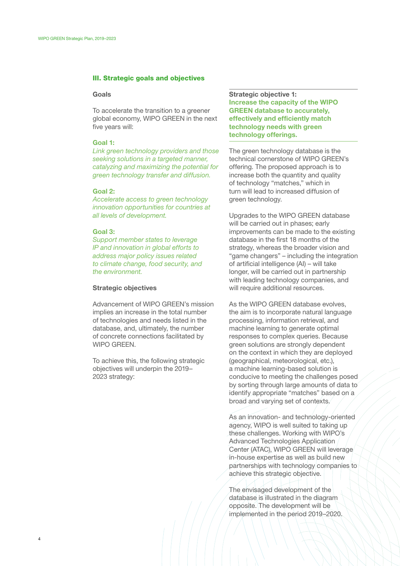# III. Strategic goals and objectives

#### Goals

To accelerate the transition to a greener global economy, WIPO GREEN in the next five years will:

#### Goal 1:

*Link green technology providers and those seeking solutions in a targeted manner, catalyzing and maximizing the potential for green technology transfer and diffusion.*

#### Goal 2:

*Accelerate access to green technology innovation opportunities for countries at all levels of development.*

#### Goal 3:

*Support member states to leverage IP and innovation in global efforts to address major policy issues related to climate change, food security, and the environment.*

#### Strategic objectives

Advancement of WIPO GREEN's mission implies an increase in the total number of technologies and needs listed in the database, and, ultimately, the number of concrete connections facilitated by WIPO GREEN.

To achieve this, the following strategic objectives will underpin the 2019– 2023 strategy:

Strategic objective 1: Increase the capacity of the WIPO GREEN database to accurately, effectively and efficiently match technology needs with green technology offerings.

The green technology database is the technical cornerstone of WIPO GREEN's offering. The proposed approach is to increase both the quantity and quality of technology "matches," which in turn will lead to increased diffusion of green technology.

Upgrades to the WIPO GREEN database will be carried out in phases; early improvements can be made to the existing database in the first 18 months of the strategy, whereas the broader vision and "game changers" – including the integration of artificial intelligence (AI) – will take longer, will be carried out in partnership with leading technology companies, and will require additional resources.

As the WIPO GREEN database evolves. the aim is to incorporate natural language processing, information retrieval, and machine learning to generate optimal responses to complex queries. Because green solutions are strongly dependent on the context in which they are deployed (geographical, meteorological, etc.), a machine learning-based solution is conducive to meeting the challenges posed by sorting through large amounts of data to identify appropriate "matches" based on a broad and varying set of contexts.

As an innovation- and technology-oriented agency, WIPO is well suited to taking up these challenges. Working with WIPO's Advanced Technologies Application Center (ATAC), WIPO GREEN will leverage in-house expertise as well as build new partnerships with technology companies to achieve this strategic objective.

The envisaged development of the database is illustrated in the diagram opposite. The development will be implemented in the period 2019–2020.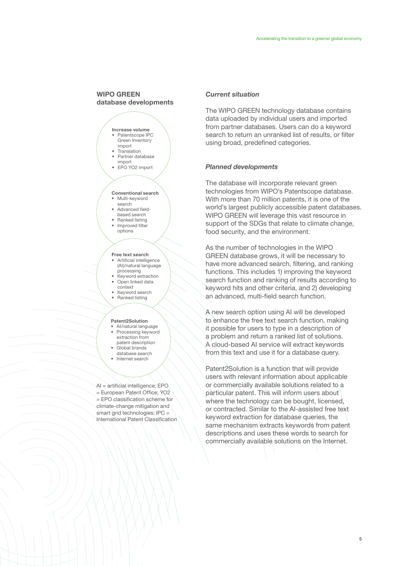# WIPO GREEN database developments



#### Free text search

- Artificial intelligence (AI)/natural language processing
- Keyword extraction • Open linked data
- context Keyword search • Ranked listing

## Patent2Solution

- AI/natural language • Processing keyword extraction from
- patent description • Global brands
- database search
- Internet search

AI = artificial intelligence; EPO = European Patent Office; YO2 = EPO classification scheme for climate-change mitigation and smart grid technologies; IPC = International Patent Classification

#### *Current situation*

The WIPO GREEN technology database contains data uploaded by individual users and imported from partner databases. Users can do a keyword search to return an unranked list of results, or filter using broad, predefined categories.

## *Planned developments*

The database will incorporate relevant green technologies from WIPO's Patentscope database. With more than 70 million patents, it is one of the world's largest publicly accessible patent databases. WIPO GREEN will leverage this vast resource in support of the SDGs that relate to climate change, food security, and the environment.

As the number of technologies in the WIPO GREEN database grows, it will be necessary to have more advanced search, filtering, and ranking functions. This includes 1) improving the keyword search function and ranking of results according to keyword hits and other criteria, and 2) developing an advanced, multi-field search function.

A new search option using AI will be developed to enhance the free text search function, making it possible for users to type in a description of a problem and return a ranked list of solutions. A cloud-based AI service will extract keywords from this text and use it for a database query.

Patent2Solution is a function that will provide users with relevant information about applicable or commercially available solutions related to a particular patent. This will inform users about where the technology can be bought, licensed, or contracted. Similar to the AI-assisted free text keyword extraction for database queries, the same mechanism extracts keywords from patent descriptions and uses these words to search for commercially available solutions on the Internet.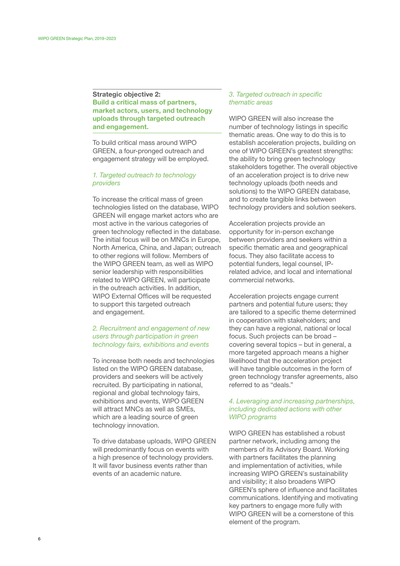# Strategic objective 2: Build a critical mass of partners, market actors, users, and technology uploads through targeted outreach and engagement.

To build critical mass around WIPO GREEN, a four-pronged outreach and engagement strategy will be employed.

# *1. Targeted outreach to technology providers*

To increase the critical mass of green technologies listed on the database, WIPO GREEN will engage market actors who are most active in the various categories of green technology reflected in the database. The initial focus will be on MNCs in Europe, North America, China, and Japan; outreach to other regions will follow. Members of the WIPO GREEN team, as well as WIPO senior leadership with responsibilities related to WIPO GREEN, will participate in the outreach activities. In addition, WIPO External Offices will be requested to support this targeted outreach and engagement.

# *2. Recruitment and engagement of new users through participation in green technology fairs, exhibitions and events*

To increase both needs and technologies listed on the WIPO GREEN database, providers and seekers will be actively recruited. By participating in national, regional and global technology fairs. exhibitions and events, WIPO GREEN will attract MNCs as well as SMEs. which are a leading source of green technology innovation.

To drive database uploads, WIPO GREEN will predominantly focus on events with a high presence of technology providers. It will favor business events rather than events of an academic nature.

## *3. Targeted outreach in specific thematic areas*

WIPO GREEN will also increase the number of technology listings in specific thematic areas. One way to do this is to establish acceleration projects, building on one of WIPO GREEN's greatest strengths: the ability to bring green technology stakeholders together. The overall objective of an acceleration project is to drive new technology uploads (both needs and solutions) to the WIPO GREEN database, and to create tangible links between technology providers and solution seekers.

Acceleration projects provide an opportunity for in-person exchange between providers and seekers within a specific thematic area and geographical focus. They also facilitate access to potential funders, legal counsel, IPrelated advice, and local and international commercial networks.

Acceleration projects engage current partners and potential future users; they are tailored to a specific theme determined in cooperation with stakeholders; and they can have a regional, national or local focus. Such projects can be broad – covering several topics – but in general, a more targeted approach means a higher likelihood that the acceleration project will have tangible outcomes in the form of green technology transfer agreements, also referred to as "deals."

# *4. Leveraging and increasing partnerships, including dedicated actions with other WIPO programs*

WIPO GREEN has established a robust partner network, including among the members of its Advisory Board. Working with partners facilitates the planning and implementation of activities, while increasing WIPO GREEN's sustainability and visibility; it also broadens WIPO GREEN's sphere of influence and facilitates communications. Identifying and motivating key partners to engage more fully with WIPO GREEN will be a cornerstone of this element of the program.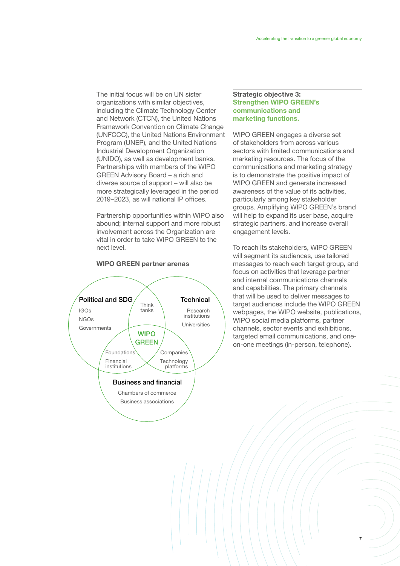The initial focus will be on UN sister organizations with similar objectives, including the Climate Technology Center and Network (CTCN), the United Nations Framework Convention on Climate Change (UNFCCC), the United Nations Environment Program (UNEP), and the United Nations Industrial Development Organization (UNIDO), as well as development banks. Partnerships with members of the WIPO GREEN Advisory Board – a rich and diverse source of support – will also be more strategically leveraged in the period 2019–2023, as will national IP offices.

Partnership opportunities within WIPO also abound; internal support and more robust involvement across the Organization are vital in order to take WIPO GREEN to the next level.

#### WIPO GREEN partner arenas



# Strategic objective 3: Strengthen WIPO GREEN's communications and marketing functions.

WIPO GREEN engages a diverse set of stakeholders from across various sectors with limited communications and marketing resources. The focus of the communications and marketing strategy is to demonstrate the positive impact of WIPO GREEN and generate increased awareness of the value of its activities, particularly among key stakeholder groups. Amplifying WIPO GREEN's brand will help to expand its user base, acquire strategic partners, and increase overall engagement levels.

To reach its stakeholders, WIPO GREEN will segment its audiences, use tailored messages to reach each target group, and focus on activities that leverage partner and internal communications channels and capabilities. The primary channels that will be used to deliver messages to target audiences include the WIPO GREEN webpages, the WIPO website, publications, WIPO social media platforms, partner channels, sector events and exhibitions, targeted email communications, and oneon-one meetings (in-person, telephone).

7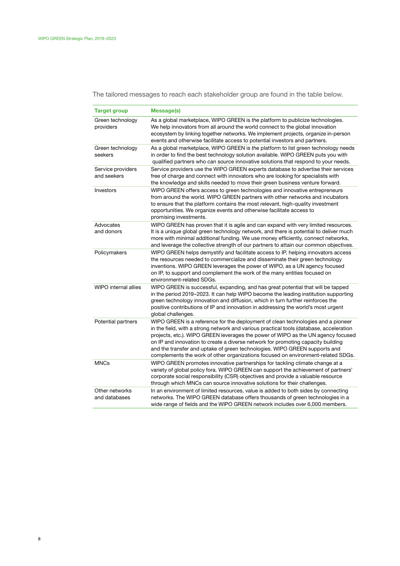The tailored messages to reach each stakeholder group are found in the table below.

| <b>Target group</b>              | Message(s)                                                                                                                                                                                                                                                                                                                                                                                                                                                                                                            |
|----------------------------------|-----------------------------------------------------------------------------------------------------------------------------------------------------------------------------------------------------------------------------------------------------------------------------------------------------------------------------------------------------------------------------------------------------------------------------------------------------------------------------------------------------------------------|
| Green technology<br>providers    | As a global marketplace, WIPO GREEN is the platform to publicize technologies.<br>We help innovators from all around the world connect to the global innovation<br>ecosystem by linking together networks. We implement projects, organize in-person<br>events and otherwise facilitate access to potential investors and partners.                                                                                                                                                                                   |
| Green technology<br>seekers      | As a global marketplace, WIPO GREEN is the platform to list green technology needs<br>in order to find the best technology solution available. WIPO GREEN puts you with<br>qualified partners who can source innovative solutions that respond to your needs.                                                                                                                                                                                                                                                         |
| Service providers<br>and seekers | Service providers use the WIPO GREEN experts database to advertise their services<br>free of charge and connect with innovators who are looking for specialists with<br>the knowledge and skills needed to move their green business venture forward.                                                                                                                                                                                                                                                                 |
| Investors                        | WIPO GREEN offers access to green technologies and innovative entrepreneurs<br>from around the world. WIPO GREEN partners with other networks and incubators<br>to ensure that the platform contains the most relevant, high-quality investment<br>opportunities. We organize events and otherwise facilitate access to<br>promising investments.                                                                                                                                                                     |
| Advocates<br>and donors          | WIPO GREEN has proven that it is agile and can expand with very limited resources.<br>It is a unique global green technology network, and there is potential to deliver much<br>more with minimal additional funding. We use money efficiently, connect networks,<br>and leverage the collective strength of our partners to attain our common objectives.                                                                                                                                                            |
| Policymakers                     | WIPO GREEN helps demystify and facilitate access to IP, helping innovators access<br>the resources needed to commercialize and disseminate their green technology<br>inventions. WIPO GREEN leverages the power of WIPO, as a UN agency focused<br>on IP, to support and complement the work of the many entities focused on<br>environment-related SDGs.                                                                                                                                                             |
| WIPO internal allies             | WIPO GREEN is successful, expanding, and has great potential that will be tapped<br>in the period 2019–2023. It can help WIPO become the leading institution supporting<br>green technology innovation and diffusion, which in turn further reinforces the<br>positive contributions of IP and innovation in addressing the world's most urgent<br>global challenges.                                                                                                                                                 |
| Potential partners               | WIPO GREEN is a reference for the deployment of clean technologies and a pioneer<br>in the field, with a strong network and various practical tools (database, acceleration<br>projects, etc.). WIPO GREEN leverages the power of WIPO as the UN agency focused<br>on IP and innovation to create a diverse network for promoting capacity building<br>and the transfer and uptake of green technologies. WIPO GREEN supports and<br>complements the work of other organizations focused on environment-related SDGs. |
| <b>MNCs</b>                      | WIPO GREEN promotes innovative partnerships for tackling climate change at a<br>variety of global policy fora. WIPO GREEN can support the achievement of partners'<br>corporate social responsibility (CSR) objectives and provide a valuable resource<br>through which MNCs can source innovative solutions for their challenges.                                                                                                                                                                                    |
| Other networks<br>and databases  | In an environment of limited resources, value is added to both sides by connecting<br>networks. The WIPO GREEN database offers thousands of green technologies in a<br>wide range of fields and the WIPO GREEN network includes over 6,000 members.                                                                                                                                                                                                                                                                   |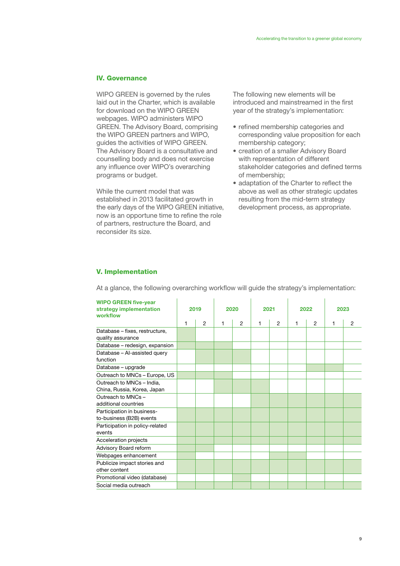# IV. Governance

WIPO GREEN is governed by the rules laid out in the Charter, which is available for download on the WIPO GREEN webpages. WIPO administers WIPO GREEN. The Advisory Board, comprising the WIPO GREEN partners and WIPO, guides the activities of WIPO GREEN. The Advisory Board is a consultative and counselling body and does not exercise any influence over WIPO's overarching programs or budget.

While the current model that was established in 2013 facilitated growth in the early days of the WIPO GREEN initiative, now is an opportune time to refine the role of partners, restructure the Board, and reconsider its size.

The following new elements will be introduced and mainstreamed in the first year of the strategy's implementation:

- refined membership categories and corresponding value proposition for each membership category;
- creation of a smaller Advisory Board with representation of different stakeholder categories and defined terms of membership;
- adaptation of the Charter to reflect the above as well as other strategic updates resulting from the mid-term strategy development process, as appropriate.

#### V. Implementation

At a glance, the following overarching workflow will guide the strategy's implementation:

| <b>WIPO GREEN five-year</b><br>strategy implementation<br>workflow | 2019 |                | 2020 |   | 2021 |                | 2022 |                | 2023 |                |
|--------------------------------------------------------------------|------|----------------|------|---|------|----------------|------|----------------|------|----------------|
|                                                                    | 1    | $\overline{2}$ | 1    | 2 | 1    | $\overline{2}$ | 1    | $\overline{2}$ | 1    | $\overline{2}$ |
| Database - fixes, restructure,<br>quality assurance                |      |                |      |   |      |                |      |                |      |                |
| Database - redesign, expansion                                     |      |                |      |   |      |                |      |                |      |                |
| Database - Al-assisted query<br>function                           |      |                |      |   |      |                |      |                |      |                |
| Database - upgrade                                                 |      |                |      |   |      |                |      |                |      |                |
| Outreach to MNCs - Europe, US                                      |      |                |      |   |      |                |      |                |      |                |
| Outreach to MNCs - India.<br>China, Russia, Korea, Japan           |      |                |      |   |      |                |      |                |      |                |
| Outreach to MNCs-<br>additional countries                          |      |                |      |   |      |                |      |                |      |                |
| Participation in business-<br>to-business (B2B) events             |      |                |      |   |      |                |      |                |      |                |
| Participation in policy-related<br>events                          |      |                |      |   |      |                |      |                |      |                |
| Acceleration projects                                              |      |                |      |   |      |                |      |                |      |                |
| Advisory Board reform                                              |      |                |      |   |      |                |      |                |      |                |
| Webpages enhancement                                               |      |                |      |   |      |                |      |                |      |                |
| Publicize impact stories and<br>other content                      |      |                |      |   |      |                |      |                |      |                |
| Promotional video (database)                                       |      |                |      |   |      |                |      |                |      |                |
| Social media outreach                                              |      |                |      |   |      |                |      |                |      |                |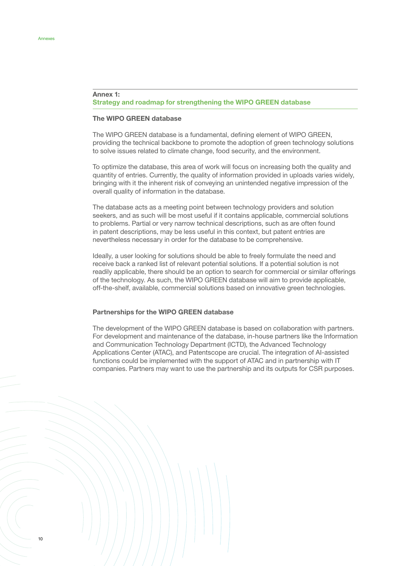## Annex 1: Strategy and roadmap for strengthening the WIPO GREEN database

#### The WIPO GREEN database

The WIPO GREEN database is a fundamental, defining element of WIPO GREEN, providing the technical backbone to promote the adoption of green technology solutions to solve issues related to climate change, food security, and the environment.

To optimize the database, this area of work will focus on increasing both the quality and quantity of entries. Currently, the quality of information provided in uploads varies widely, bringing with it the inherent risk of conveying an unintended negative impression of the overall quality of information in the database.

The database acts as a meeting point between technology providers and solution seekers, and as such will be most useful if it contains applicable, commercial solutions to problems. Partial or very narrow technical descriptions, such as are often found in patent descriptions, may be less useful in this context, but patent entries are nevertheless necessary in order for the database to be comprehensive.

Ideally, a user looking for solutions should be able to freely formulate the need and receive back a ranked list of relevant potential solutions. If a potential solution is not readily applicable, there should be an option to search for commercial or similar offerings of the technology. As such, the WIPO GREEN database will aim to provide applicable, off-the-shelf, available, commercial solutions based on innovative green technologies.

# Partnerships for the WIPO GREEN database

The development of the WIPO GREEN database is based on collaboration with partners. For development and maintenance of the database, in-house partners like the Information and Communication Technology Department (ICTD), the Advanced Technology Applications Center (ATAC), and Patentscope are crucial. The integration of AI-assisted functions could be implemented with the support of ATAC and in partnership with IT companies. Partners may want to use the partnership and its outputs for CSR purposes.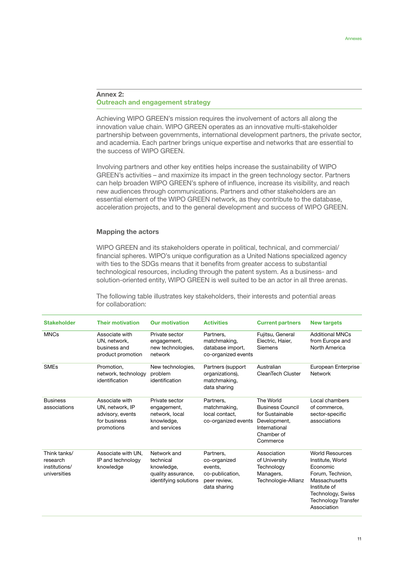#### Annex 2: Outreach and engagement strategy

Achieving WIPO GREEN's mission requires the involvement of actors all along the innovation value chain. WIPO GREEN operates as an innovative multi-stakeholder partnership between governments, international development partners, the private sector, and academia. Each partner brings unique expertise and networks that are essential to the success of WIPO GREEN.

Involving partners and other key entities helps increase the sustainability of WIPO GREEN's activities – and maximize its impact in the green technology sector. Partners can help broaden WIPO GREEN's sphere of influence, increase its visibility, and reach new audiences through communications. Partners and other stakeholders are an essential element of the WIPO GREEN network, as they contribute to the database, acceleration projects, and to the general development and success of WIPO GREEN.

#### Mapping the actors

WIPO GREEN and its stakeholders operate in political, technical, and commercial/ financial spheres. WIPO's unique configuration as a United Nations specialized agency with ties to the SDGs means that it benefits from greater access to substantial technological resources, including through the patent system. As a business- and solution-oriented entity, WIPO GREEN is well suited to be an actor in all three arenas.

The following table illustrates key stakeholders, their interests and potential areas for collaboration:

| <b>Stakeholder</b>                                        | <b>Their motivation</b>                                                             | <b>Our motivation</b>                                                                 | <b>Activities</b>                                                                       | <b>Current partners</b>                                                                                            | <b>New targets</b>                                                                                                                                                            |
|-----------------------------------------------------------|-------------------------------------------------------------------------------------|---------------------------------------------------------------------------------------|-----------------------------------------------------------------------------------------|--------------------------------------------------------------------------------------------------------------------|-------------------------------------------------------------------------------------------------------------------------------------------------------------------------------|
| <b>MNCs</b>                                               | Associate with<br>UN, network,<br>business and<br>product promotion                 | Private sector<br>engagement,<br>new technologies.<br>network                         | Partners.<br>matchmaking,<br>database import,<br>co-organized events                    | Fujitsu, General<br>Electric, Haier,<br>Siemens                                                                    | <b>Additional MNCs</b><br>from Europe and<br>North America                                                                                                                    |
| <b>SMEs</b>                                               | Promotion.<br>network, technology<br>identification                                 | New technologies,<br>problem<br>identification                                        | Partners (support<br>organizations),<br>matchmaking,<br>data sharing                    | Australian<br>CleanTech Cluster                                                                                    | European Enterprise<br>Network                                                                                                                                                |
| <b>Business</b><br>associations                           | Associate with<br>UN, network, IP<br>advisory, events<br>for business<br>promotions | Private sector<br>engagement,<br>network, local<br>knowledge,<br>and services         | Partners,<br>matchmaking,<br>local contact.<br>co-organized events                      | The World<br><b>Business Council</b><br>for Sustainable<br>Development,<br>International<br>Chamber of<br>Commerce | Local chambers<br>of commerce,<br>sector-specific<br>associations                                                                                                             |
| Think tanks/<br>research<br>institutions/<br>universities | Associate with UN,<br>IP and technology<br>knowledge                                | Network and<br>technical<br>knowledge,<br>quality assurance,<br>identifying solutions | Partners,<br>co-organized<br>events,<br>co-publication,<br>peer review,<br>data sharing | Association<br>of University<br>Technology<br>Managers,<br>Technologie-Allianz                                     | <b>World Resources</b><br>Institute, World<br>Economic<br>Forum, Technion,<br>Massachusetts<br>Institute of<br>Technology, Swiss<br><b>Technology Transfer</b><br>Association |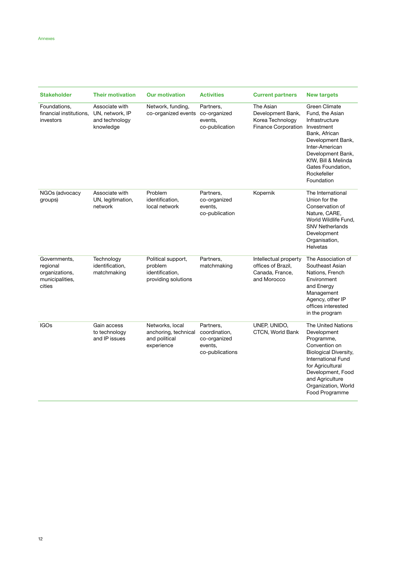| <b>Stakeholder</b>                                                                                                                     | <b>Their motivation</b>                                          | <b>Our motivation</b>                                                    | <b>Activities</b>                                      | <b>Current partners</b>                                                                                                                                                                                                            | <b>New targets</b>                                                                                                                                                                                                     |  |
|----------------------------------------------------------------------------------------------------------------------------------------|------------------------------------------------------------------|--------------------------------------------------------------------------|--------------------------------------------------------|------------------------------------------------------------------------------------------------------------------------------------------------------------------------------------------------------------------------------------|------------------------------------------------------------------------------------------------------------------------------------------------------------------------------------------------------------------------|--|
| Foundations.<br>financial institutions.<br>investors                                                                                   | Associate with<br>UN, network, IP<br>and technology<br>knowledge | Network, funding,<br>co-organized events co-organized                    | Partners,<br>events,<br>co-publication                 | The Asian<br>Development Bank,<br>Korea Technology<br>Finance Corporation                                                                                                                                                          | Green Climate<br>Fund, the Asian<br>Infrastructure<br>Investment<br>Bank, African<br>Development Bank,<br>Inter-American<br>Development Bank,<br>KfW, Bill & Melinda<br>Gates Foundation,<br>Rockefeller<br>Foundation |  |
| NGOs (advocacy<br>groups)                                                                                                              | Associate with<br>UN, legitimation,<br>network                   | Problem<br>identification.<br>local network                              | Partners,<br>co-organized<br>events,<br>co-publication | Kopernik                                                                                                                                                                                                                           | The International<br>Union for the<br>Conservation of<br>Nature, CARE,<br>World Wildlife Fund.<br><b>SNV Netherlands</b><br>Development<br>Organisation,<br><b>Helvetas</b>                                            |  |
| Governments,<br>regional<br>organizations,<br>municipalities,<br>cities                                                                | Technology<br>identification,<br>matchmaking                     | Political support,<br>problem<br>identification.<br>providing solutions  | Partners,<br>matchmaking                               | Intellectual property<br>offices of Brazil,<br>Canada, France,<br>and Morocco                                                                                                                                                      | The Association of<br>Southeast Asian<br>Nations, French<br>Environment<br>and Energy<br>Management<br>Agency, other IP<br>offices interested<br>in the program                                                        |  |
| <b>IGOs</b><br>Gain access<br>Networks, local<br>to technology<br>anchoring, technical<br>and IP issues<br>and political<br>experience |                                                                  | Partners,<br>coordination,<br>co-organized<br>events,<br>co-publications | UNEP, UNIDO,<br>CTCN, World Bank                       | The United Nations<br>Development<br>Programme,<br>Convention on<br><b>Biological Diversity,</b><br><b>International Fund</b><br>for Agricultural<br>Development, Food<br>and Agriculture<br>Organization, World<br>Food Programme |                                                                                                                                                                                                                        |  |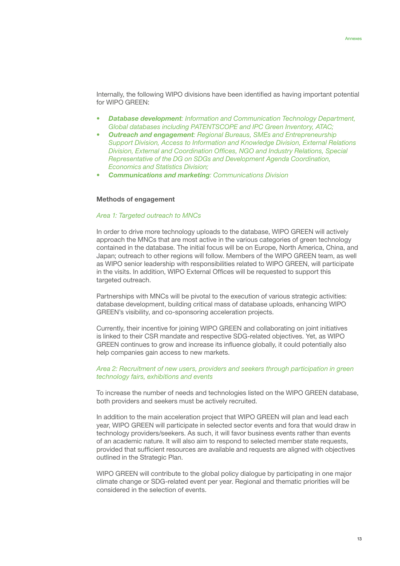Internally, the following WIPO divisions have been identified as having important potential for WIPO GREEN:

- *• Database development: Information and Communication Technology Department, Global databases including PATENTSCOPE and IPC Green Inventory, ATAC;*
- *• Outreach and engagement: Regional Bureaus, SMEs and Entrepreneurship Support Division, Access to Information and Knowledge Division, External Relations Division, External and Coordination Offices, NGO and Industry Relations, Special Representative of the DG on SDGs and Development Agenda Coordination, Economics and Statistics Division;*
- *• Communications and marketing: Communications Division*

#### Methods of engagement

## *Area 1: Targeted outreach to MNCs*

In order to drive more technology uploads to the database, WIPO GREEN will actively approach the MNCs that are most active in the various categories of green technology contained in the database. The initial focus will be on Europe, North America, China, and Japan; outreach to other regions will follow. Members of the WIPO GREEN team, as well as WIPO senior leadership with responsibilities related to WIPO GREEN, will participate in the visits. In addition, WIPO External Offices will be requested to support this targeted outreach.

Partnerships with MNCs will be pivotal to the execution of various strategic activities: database development, building critical mass of database uploads, enhancing WIPO GREEN's visibility, and co-sponsoring acceleration projects.

Currently, their incentive for joining WIPO GREEN and collaborating on joint initiatives is linked to their CSR mandate and respective SDG-related objectives. Yet, as WIPO GREEN continues to grow and increase its influence globally, it could potentially also help companies gain access to new markets.

## *Area 2: Recruitment of new users, providers and seekers through participation in green technology fairs, exhibitions and events*

To increase the number of needs and technologies listed on the WIPO GREEN database, both providers and seekers must be actively recruited.

In addition to the main acceleration project that WIPO GREEN will plan and lead each year, WIPO GREEN will participate in selected sector events and fora that would draw in technology providers/seekers. As such, it will favor business events rather than events of an academic nature. It will also aim to respond to selected member state requests, provided that sufficient resources are available and requests are aligned with objectives outlined in the Strategic Plan.

WIPO GREEN will contribute to the global policy dialogue by participating in one major climate change or SDG-related event per year. Regional and thematic priorities will be considered in the selection of events.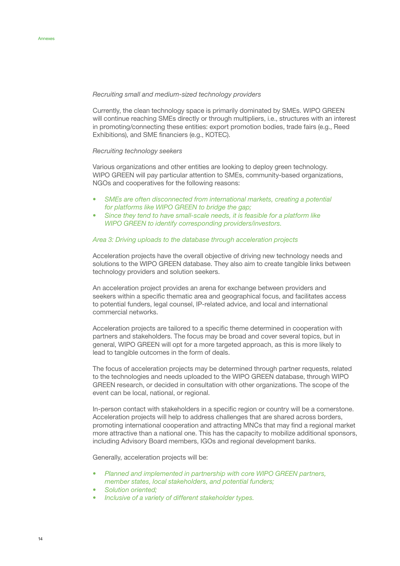#### *Recruiting small and medium-sized technology providers*

Currently, the clean technology space is primarily dominated by SMEs. WIPO GREEN will continue reaching SMEs directly or through multipliers, i.e., structures with an interest in promoting/connecting these entities: export promotion bodies, trade fairs (e.g., Reed Exhibitions), and SME financiers (e.g., KOTEC).

#### *Recruiting technology seekers*

Various organizations and other entities are looking to deploy green technology. WIPO GREEN will pay particular attention to SMEs, community-based organizations, NGOs and cooperatives for the following reasons:

- *• SMEs are often disconnected from international markets, creating a potential for platforms like WIPO GREEN to bridge the gap;*
- *• Since they tend to have small-scale needs, it is feasible for a platform like WIPO GREEN to identify corresponding providers/investors.*

#### *Area 3: Driving uploads to the database through acceleration projects*

Acceleration projects have the overall objective of driving new technology needs and solutions to the WIPO GREEN database. They also aim to create tangible links between technology providers and solution seekers.

An acceleration project provides an arena for exchange between providers and seekers within a specific thematic area and geographical focus, and facilitates access to potential funders, legal counsel, IP-related advice, and local and international commercial networks.

Acceleration projects are tailored to a specific theme determined in cooperation with partners and stakeholders. The focus may be broad and cover several topics, but in general, WIPO GREEN will opt for a more targeted approach, as this is more likely to lead to tangible outcomes in the form of deals.

The focus of acceleration projects may be determined through partner requests, related to the technologies and needs uploaded to the WIPO GREEN database, through WIPO GREEN research, or decided in consultation with other organizations. The scope of the event can be local, national, or regional.

In-person contact with stakeholders in a specific region or country will be a cornerstone. Acceleration projects will help to address challenges that are shared across borders, promoting international cooperation and attracting MNCs that may find a regional market more attractive than a national one. This has the capacity to mobilize additional sponsors, including Advisory Board members, IGOs and regional development banks.

Generally, acceleration projects will be:

- *• Planned and implemented in partnership with core WIPO GREEN partners, member states, local stakeholders, and potential funders;*
- *• Solution oriented;*
- *• Inclusive of a variety of different stakeholder types.*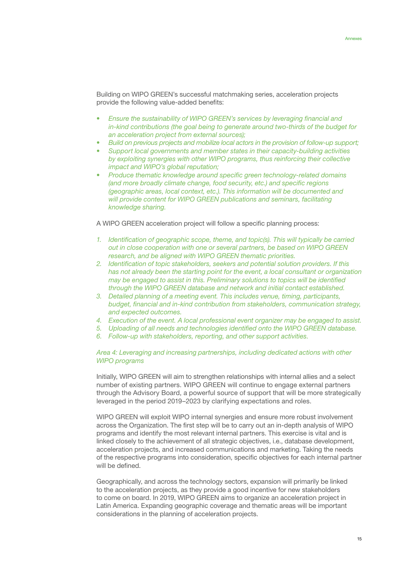Building on WIPO GREEN's successful matchmaking series, acceleration projects provide the following value-added benefits:

- *• Ensure the sustainability of WIPO GREEN's services by leveraging financial and in-kind contributions (the goal being to generate around two-thirds of the budget for an acceleration project from external sources);*
- *• Build on previous projects and mobilize local actors in the provision of follow-up support;*
- *• Support local governments and member states in their capacity-building activities by exploiting synergies with other WIPO programs, thus reinforcing their collective impact and WIPO's global reputation;*
- *• Produce thematic knowledge around specific green technology-related domains (and more broadly climate change, food security, etc.) and specific regions (geographic areas, local context, etc.). This information will be documented and will provide content for WIPO GREEN publications and seminars, facilitating knowledge sharing.*

A WIPO GREEN acceleration project will follow a specific planning process:

- *1. Identification of geographic scope, theme, and topic(s). This will typically be carried out in close cooperation with one or several partners, be based on WIPO GREEN research, and be aligned with WIPO GREEN thematic priorities.*
- *2. Identification of topic stakeholders, seekers and potential solution providers. If this has not already been the starting point for the event, a local consultant or organization may be engaged to assist in this. Preliminary solutions to topics will be identified through the WIPO GREEN database and network and initial contact established.*
- *3. Detailed planning of a meeting event. This includes venue, timing, participants, budget, financial and in-kind contribution from stakeholders, communication strategy, and expected outcomes.*
- *4. Execution of the event. A local professional event organizer may be engaged to assist.*
- *5. Uploading of all needs and technologies identified onto the WIPO GREEN database.*
- *6. Follow-up with stakeholders, reporting, and other support activities.*

## *Area 4: Leveraging and increasing partnerships, including dedicated actions with other WIPO programs*

Initially, WIPO GREEN will aim to strengthen relationships with internal allies and a select number of existing partners. WIPO GREEN will continue to engage external partners through the Advisory Board, a powerful source of support that will be more strategically leveraged in the period 2019–2023 by clarifying expectations and roles.

WIPO GREEN will exploit WIPO internal synergies and ensure more robust involvement across the Organization. The first step will be to carry out an in-depth analysis of WIPO programs and identify the most relevant internal partners. This exercise is vital and is linked closely to the achievement of all strategic objectives, i.e., database development, acceleration projects, and increased communications and marketing. Taking the needs of the respective programs into consideration, specific objectives for each internal partner will be defined.

Geographically, and across the technology sectors, expansion will primarily be linked to the acceleration projects, as they provide a good incentive for new stakeholders to come on board. In 2019, WIPO GREEN aims to organize an acceleration project in Latin America. Expanding geographic coverage and thematic areas will be important considerations in the planning of acceleration projects.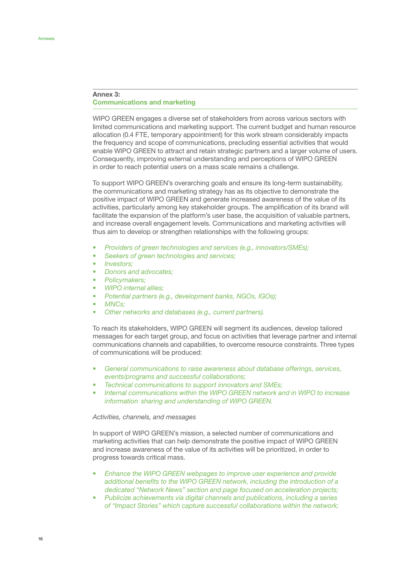## Annex 3: Communications and marketing

WIPO GREEN engages a diverse set of stakeholders from across various sectors with limited communications and marketing support. The current budget and human resource allocation (0.4 FTE, temporary appointment) for this work stream considerably impacts the frequency and scope of communications, precluding essential activities that would enable WIPO GREEN to attract and retain strategic partners and a larger volume of users. Consequently, improving external understanding and perceptions of WIPO GREEN in order to reach potential users on a mass scale remains a challenge.

To support WIPO GREEN's overarching goals and ensure its long-term sustainability, the communications and marketing strategy has as its objective to demonstrate the positive impact of WIPO GREEN and generate increased awareness of the value of its activities, particularly among key stakeholder groups. The amplification of its brand will facilitate the expansion of the platform's user base, the acquisition of valuable partners, and increase overall engagement levels. Communications and marketing activities will thus aim to develop or strengthen relationships with the following groups:

- *• Providers of green technologies and services (e.g., innovators/SMEs);*
- *• Seekers of green technologies and services;*
- *• Investors;*
- *• Donors and advocates;*
- *• Policymakers;*
- *• WIPO internal allies;*
- *• Potential partners (e.g., development banks, NGOs, IGOs);*
- *• MNCs;*
- *• Other networks and databases (e.g., current partners).*

To reach its stakeholders, WIPO GREEN will segment its audiences, develop tailored messages for each target group, and focus on activities that leverage partner and internal communications channels and capabilities, to overcome resource constraints. Three types of communications will be produced:

- *• General communications to raise awareness about database offerings, services, events/programs and successful collaborations;*
- *• Technical communications to support innovators and SMEs;*
- *• Internal communications within the WIPO GREEN network and in WIPO to increase information sharing and understanding of WIPO GREEN.*

#### *Activities, channels, and messages*

In support of WIPO GREEN's mission, a selected number of communications and marketing activities that can help demonstrate the positive impact of WIPO GREEN and increase awareness of the value of its activities will be prioritized, in order to progress towards critical mass.

- *• Enhance the WIPO GREEN webpages to improve user experience and provide additional benefits to the WIPO GREEN network, including the introduction of a dedicated "Network News" section and page focused on acceleration projects;*
- *• Publicize achievements via digital channels and publications, including a series of "Impact Stories" which capture successful collaborations within the network;*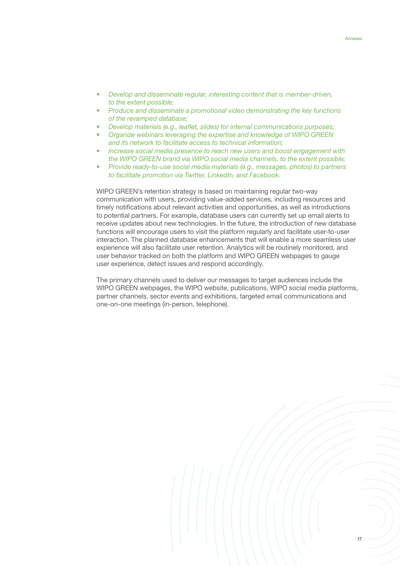- *• Develop and disseminate regular, interesting content that is member-driven, to the extent possible;*
- *• Produce and disseminate a promotional video demonstrating the key functions of the revamped database;*
- *• Develop materials (e.g., leaflet, slides) for internal communications purposes;*
- *• Organize webinars leveraging the expertise and knowledge of WIPO GREEN and its network to facilitate access to technical information;*
- *• Increase social media presence to reach new users and boost engagement with the WIPO GREEN brand via WIPO social media channels, to the extent possible;*
- *• Provide ready-to-use social media materials (e.g., messages, photos) to partners to facilitate promotion via Twitter, LinkedIn, and Facebook.*

WIPO GREEN's retention strategy is based on maintaining regular two-way communication with users, providing value-added services, including resources and timely notifications about relevant activities and opportunities, as well as introductions to potential partners. For example, database users can currently set up email alerts to receive updates about new technologies. In the future, the introduction of new database functions will encourage users to visit the platform regularly and facilitate user-to-user interaction. The planned database enhancements that will enable a more seamless user experience will also facilitate user retention. Analytics will be routinely monitored, and user behavior tracked on both the platform and WIPO GREEN webpages to gauge user experience, detect issues and respond accordingly.

The primary channels used to deliver our messages to target audiences include the WIPO GREEN webpages, the WIPO website, publications, WIPO social media platforms, partner channels, sector events and exhibitions, targeted email communications and one-on-one meetings (in-person, telephone).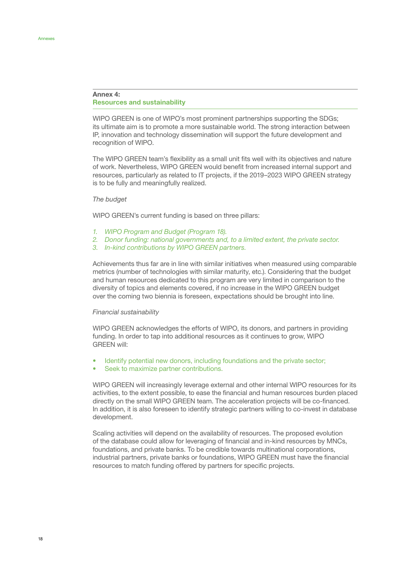## Annex 4: Resources and sustainability

WIPO GREEN is one of WIPO's most prominent partnerships supporting the SDGs; its ultimate aim is to promote a more sustainable world. The strong interaction between IP, innovation and technology dissemination will support the future development and recognition of WIPO.

The WIPO GREEN team's flexibility as a small unit fits well with its objectives and nature of work. Nevertheless, WIPO GREEN would benefit from increased internal support and resources, particularly as related to IT projects, if the 2019–2023 WIPO GREEN strategy is to be fully and meaningfully realized.

#### *The budget*

WIPO GREEN's current funding is based on three pillars:

- *1. WIPO Program and Budget (Program 18).*
- *2. Donor funding: national governments and, to a limited extent, the private sector.*
- *3. In-kind contributions by WIPO GREEN partners.*

Achievements thus far are in line with similar initiatives when measured using comparable metrics (number of technologies with similar maturity, etc.). Considering that the budget and human resources dedicated to this program are very limited in comparison to the diversity of topics and elements covered, if no increase in the WIPO GREEN budget over the coming two biennia is foreseen, expectations should be brought into line.

#### *Financial sustainability*

WIPO GREEN acknowledges the efforts of WIPO, its donors, and partners in providing funding. In order to tap into additional resources as it continues to grow, WIPO GREEN will:

- Identify potential new donors, including foundations and the private sector;
- Seek to maximize partner contributions.

WIPO GREEN will increasingly leverage external and other internal WIPO resources for its activities, to the extent possible, to ease the financial and human resources burden placed directly on the small WIPO GREEN team. The acceleration projects will be co-financed. In addition, it is also foreseen to identify strategic partners willing to co-invest in database development.

Scaling activities will depend on the availability of resources. The proposed evolution of the database could allow for leveraging of financial and in-kind resources by MNCs, foundations, and private banks. To be credible towards multinational corporations, industrial partners, private banks or foundations, WIPO GREEN must have the financial resources to match funding offered by partners for specific projects.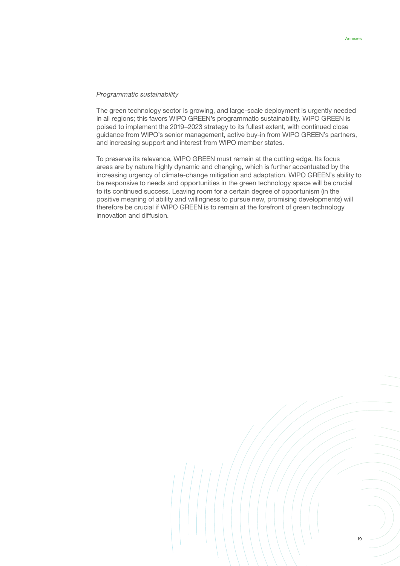#### *Programmatic sustainability*

The green technology sector is growing, and large-scale deployment is urgently needed in all regions; this favors WIPO GREEN's programmatic sustainability. WIPO GREEN is poised to implement the 2019–2023 strategy to its fullest extent, with continued close guidance from WIPO's senior management, active buy-in from WIPO GREEN's partners, and increasing support and interest from WIPO member states.

To preserve its relevance, WIPO GREEN must remain at the cutting edge. Its focus areas are by nature highly dynamic and changing, which is further accentuated by the increasing urgency of climate-change mitigation and adaptation. WIPO GREEN's ability to be responsive to needs and opportunities in the green technology space will be crucial to its continued success. Leaving room for a certain degree of opportunism (in the positive meaning of ability and willingness to pursue new, promising developments) will therefore be crucial if WIPO GREEN is to remain at the forefront of green technology innovation and diffusion.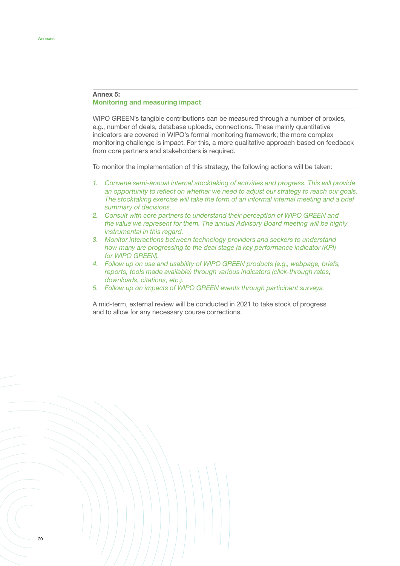## Annex 5: Monitoring and measuring impact

WIPO GREEN's tangible contributions can be measured through a number of proxies, e.g., number of deals, database uploads, connections. These mainly quantitative indicators are covered in WIPO's formal monitoring framework; the more complex monitoring challenge is impact. For this, a more qualitative approach based on feedback from core partners and stakeholders is required.

To monitor the implementation of this strategy, the following actions will be taken:

- *1. Convene semi-annual internal stocktaking of activities and progress. This will provide an opportunity to reflect on whether we need to adjust our strategy to reach our goals. The stocktaking exercise will take the form of an informal internal meeting and a brief summary of decisions.*
- *2. Consult with core partners to understand their perception of WIPO GREEN and the value we represent for them. The annual Advisory Board meeting will be highly instrumental in this regard.*
- *3. Monitor interactions between technology providers and seekers to understand how many are progressing to the deal stage (a key performance indicator (KPI) for WIPO GREEN).*
- *4. Follow up on use and usability of WIPO GREEN products (e.g., webpage, briefs, reports, tools made available) through various indicators (click-through rates, downloads, citations, etc.).*
- *5. Follow up on impacts of WIPO GREEN events through participant surveys.*

A mid-term, external review will be conducted in 2021 to take stock of progress and to allow for any necessary course corrections.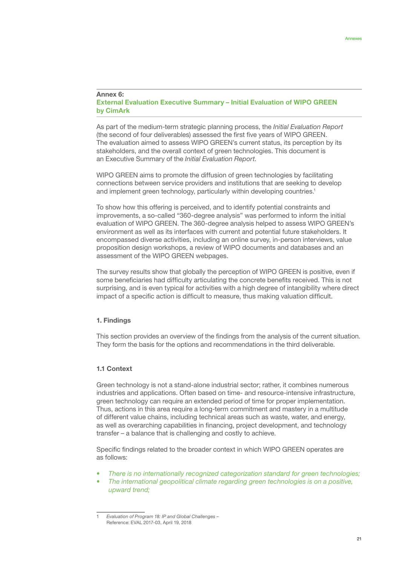#### Annex 6: External Evaluation Executive Summary – Initial Evaluation of WIPO GREEN by CimArk

As part of the medium-term strategic planning process, the *Initial Evaluation Report* (the second of four deliverables) assessed the first five years of WIPO GREEN. The evaluation aimed to assess WIPO GREEN's current status, its perception by its stakeholders, and the overall context of green technologies. This document is an Executive Summary of the *Initial Evaluation Report*.

WIPO GREEN aims to promote the diffusion of green technologies by facilitating connections between service providers and institutions that are seeking to develop and implement green technology, particularly within developing countries.<sup>1</sup>

To show how this offering is perceived, and to identify potential constraints and improvements, a so-called "360-degree analysis" was performed to inform the initial evaluation of WIPO GREEN. The 360-degree analysis helped to assess WIPO GREEN's environment as well as its interfaces with current and potential future stakeholders. It encompassed diverse activities, including an online survey, in-person interviews, value proposition design workshops, a review of WIPO documents and databases and an assessment of the WIPO GREEN webpages.

The survey results show that globally the perception of WIPO GREEN is positive, even if some beneficiaries had difficulty articulating the concrete benefits received. This is not surprising, and is even typical for activities with a high degree of intangibility where direct impact of a specific action is difficult to measure, thus making valuation difficult.

# 1. Findings

This section provides an overview of the findings from the analysis of the current situation. They form the basis for the options and recommendations in the third deliverable.

## 1.1 Context

Green technology is not a stand-alone industrial sector; rather, it combines numerous industries and applications. Often based on time- and resource-intensive infrastructure, green technology can require an extended period of time for proper implementation. Thus, actions in this area require a long-term commitment and mastery in a multitude of different value chains, including technical areas such as waste, water, and energy, as well as overarching capabilities in financing, project development, and technology transfer – a balance that is challenging and costly to achieve.

Specific findings related to the broader context in which WIPO GREEN operates are as follows:

- *• There is no internationally recognized categorization standard for green technologies;*
- *• The international geopolitical climate regarding green technologies is on a positive, upward trend;*

<sup>1</sup> *Evaluation of Program 18: IP and Global Challenges* – Reference: EVAL 2017-03, April 19, 2018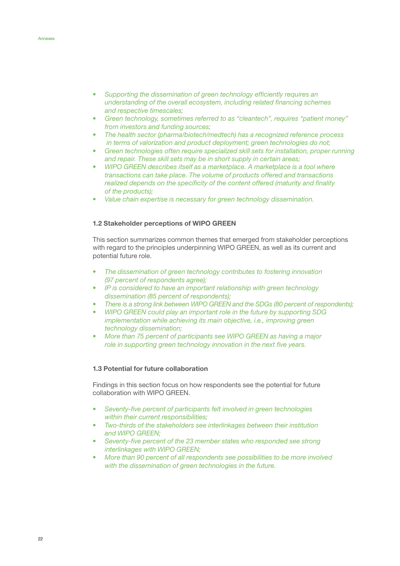- *• Supporting the dissemination of green technology efficiently requires an understanding of the overall ecosystem, including related financing schemes and respective timescales;*
- *• Green technology, sometimes referred to as "cleantech", requires "patient money" from investors and funding sources;*
- *• The health sector (pharma/biotech/medtech) has a recognized reference process in terms of valorization and product deployment; green technologies do not;*
- *• Green technologies often require specialized skill sets for installation, proper running and repair. These skill sets may be in short supply in certain areas;*
- *WIPO GREEN describes itself as a marketplace. A marketplace is a tool where transactions can take place. The volume of products offered and transactions realized depends on the specificity of the content offered (maturity and finality of the products);*
- *• Value chain expertise is necessary for green technology dissemination.*

## 1.2 Stakeholder perceptions of WIPO GREEN

This section summarizes common themes that emerged from stakeholder perceptions with regard to the principles underpinning WIPO GREEN, as well as its current and potential future role.

- *• The dissemination of green technology contributes to fostering innovation (97 percent of respondents agree);*
- *• IP is considered to have an important relationship with green technology dissemination (85 percent of respondents);*
- *• There is a strong link between WIPO GREEN and the SDGs (80 percent of respondents);*
- *• WIPO GREEN could play an important role in the future by supporting SDG implementation while achieving its main objective, i.e., improving green technology dissemination;*
- *• More than 75 percent of participants see WIPO GREEN as having a major role in supporting green technology innovation in the next five years.*

#### 1.3 Potential for future collaboration

Findings in this section focus on how respondents see the potential for future collaboration with WIPO GREEN.

- *• Seventy-five percent of participants felt involved in green technologies within their current responsibilities;*
- *• Two-thirds of the stakeholders see interlinkages between their institution and WIPO GREEN;*
- *• Seventy-five percent of the 23 member states who responded see strong interlinkages with WIPO GREEN;*
- *• More than 90 percent of all respondents see possibilities to be more involved with the dissemination of green technologies in the future.*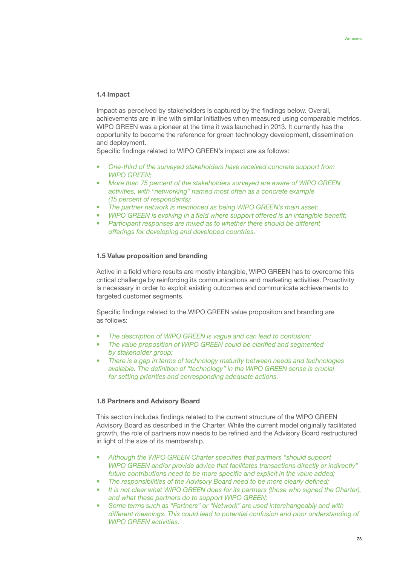## 1.4 Impact

Impact as perceived by stakeholders is captured by the findings below. Overall, achievements are in line with similar initiatives when measured using comparable metrics. WIPO GREEN was a pioneer at the time it was launched in 2013. It currently has the opportunity to become the reference for green technology development, dissemination and deployment.

Specific findings related to WIPO GREEN's impact are as follows:

- *• One-third of the surveyed stakeholders have received concrete support from WIPO GREEN;*
- *• More than 75 percent of the stakeholders surveyed are aware of WIPO GREEN activities, with "networking" named most often as a concrete example (15 percent of respondents);*
- *• The partner network is mentioned as being WIPO GREEN's main asset;*
- *• WIPO GREEN is evolving in a field where support offered is an intangible benefit;*
- *• Participant responses are mixed as to whether there should be different offerings for developing and developed countries.*

## 1.5 Value proposition and branding

Active in a field where results are mostly intangible, WIPO GREEN has to overcome this critical challenge by reinforcing its communications and marketing activities. Proactivity is necessary in order to exploit existing outcomes and communicate achievements to targeted customer segments.

Specific findings related to the WIPO GREEN value proposition and branding are as follows:

- *• The description of WIPO GREEN is vague and can lead to confusion;*
- *• The value proposition of WIPO GREEN could be clarified and segmented by stakeholder group;*
- *• There is a gap in terms of technology maturity between needs and technologies available. The definition of "technology" in the WIPO GREEN sense is crucial for setting priorities and corresponding adequate actions.*

# 1.6 Partners and Advisory Board

This section includes findings related to the current structure of the WIPO GREEN Advisory Board as described in the Charter. While the current model originally facilitated growth, the role of partners now needs to be refined and the Advisory Board restructured in light of the size of its membership.

- *• Although the WIPO GREEN Charter specifies that partners "should support WIPO GREEN and/or provide advice that facilitates transactions directly or indirectly" future contributions need to be more specific and explicit in the value added;*
- *• The responsibilities of the Advisory Board need to be more clearly defined;*
- It is not clear what WIPO GREEN does for its partners (those who signed the Charter), *and what these partners do to support WIPO GREEN;*
- *• Some terms such as "Partners" or "Network" are used interchangeably and with different meanings. This could lead to potential confusion and poor understanding of WIPO GREEN activities.*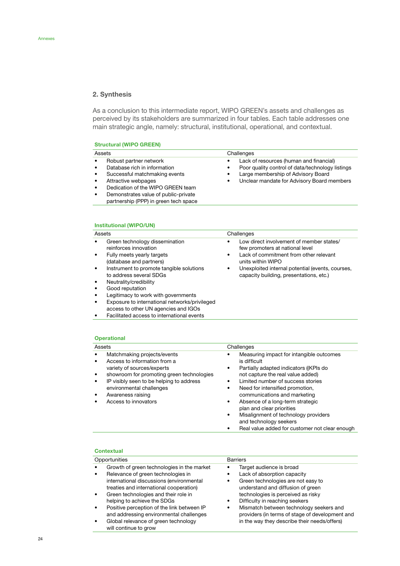# 2. Synthesis

As a conclusion to this intermediate report, WIPO GREEN's assets and challenges as perceived by its stakeholders are summarized in four tables. Each table addresses one main strategic angle, namely: structural, institutional, operational, and contextual.

# Structural (WIPO GREEN)

| Assets                                                                                                                                                                                                                                                                                                             | Challenges                                                                                                                                                                                                  |
|--------------------------------------------------------------------------------------------------------------------------------------------------------------------------------------------------------------------------------------------------------------------------------------------------------------------|-------------------------------------------------------------------------------------------------------------------------------------------------------------------------------------------------------------|
| Robust partner network<br>$\bullet$<br>Database rich in information<br>$\bullet$<br>Successful matchmaking events<br>$\bullet$<br>Attractive webpages<br>$\bullet$<br>Dedication of the WIPO GREEN team<br>$\bullet$<br>Demonstrates value of public-private<br>$\bullet$<br>partnership (PPP) in green tech space | Lack of resources (human and financial)<br>٠<br>Poor quality control of data/technology listings<br>٠<br>Large membership of Advisory Board<br>٠<br>Unclear mandate for Advisory Board members<br>$\bullet$ |

## Institutional (WIPO/UN)

| Assets    |                                                                                       |   | Challenges                                                                                  |
|-----------|---------------------------------------------------------------------------------------|---|---------------------------------------------------------------------------------------------|
| $\bullet$ | Green technology dissemination<br>reinforces innovation                               |   | Low direct involvement of member states/<br>few promoters at national level                 |
| $\bullet$ | Fully meets yearly targets<br>(database and partners)                                 | ٠ | Lack of commitment from other relevant<br>units within WIPO                                 |
| $\bullet$ | Instrument to promote tangible solutions<br>to address several SDGs                   | ٠ | Unexploited internal potential (events, courses,<br>capacity building, presentations, etc.) |
| $\bullet$ | Neutrality/credibility                                                                |   |                                                                                             |
| $\bullet$ | Good reputation                                                                       |   |                                                                                             |
| $\bullet$ | Legitimacy to work with governments                                                   |   |                                                                                             |
| $\bullet$ | Exposure to international networks/privileged<br>access to other UN agencies and IGOs |   |                                                                                             |

• Facilitated access to international events

#### **Operational**

| Assets                                                                                                                                                                                                                                                                               | Challenges                                                                                                                                                                                                                                                                                                                                                                                                                                                            |  |  |
|--------------------------------------------------------------------------------------------------------------------------------------------------------------------------------------------------------------------------------------------------------------------------------------|-----------------------------------------------------------------------------------------------------------------------------------------------------------------------------------------------------------------------------------------------------------------------------------------------------------------------------------------------------------------------------------------------------------------------------------------------------------------------|--|--|
| Matchmaking projects/events<br>٠<br>Access to information from a<br>٠<br>variety of sources/experts<br>showroom for promoting green technologies<br>٠<br>IP visibly seen to be helping to address<br>٠<br>environmental challenges<br>Awareness raising<br>٠<br>Access to innovators | Measuring impact for intangible outcomes<br>is difficult<br>Partially adapted indicators ((KPIs do<br>٠<br>not capture the real value added)<br>Limited number of success stories<br>Need for intensified promotion,<br>٠<br>communications and marketing<br>Absence of a long-term strategic<br>$\bullet$<br>plan and clear priorities<br>Misalignment of technology providers<br>٠<br>and technology seekers<br>Real value added for customer not clear enough<br>٠ |  |  |

# Contextual

| Opportunities                                                                                                                                                           | <b>Barriers</b>                                                                                                                    |
|-------------------------------------------------------------------------------------------------------------------------------------------------------------------------|------------------------------------------------------------------------------------------------------------------------------------|
| Growth of green technologies in the market<br>Relevance of green technologies in<br>international discussions (environmental<br>treaties and international cooperation) | Target audience is broad<br>Lack of absorption capacity<br>Green technologies are not easy to<br>understand and diffusion of green |
| Green technologies and their role in<br>helping to achieve the SDGs                                                                                                     | technologies is perceived as risky<br>Difficulty in reaching seekers                                                               |
| Positive perception of the link between IP<br>and addressing environmental challenges                                                                                   | Mismatch between technology seekers and<br>providers (in terms of stage of development and                                         |
| Global relevance of green technology<br>will continue to grow                                                                                                           | in the way they describe their needs/offers)                                                                                       |